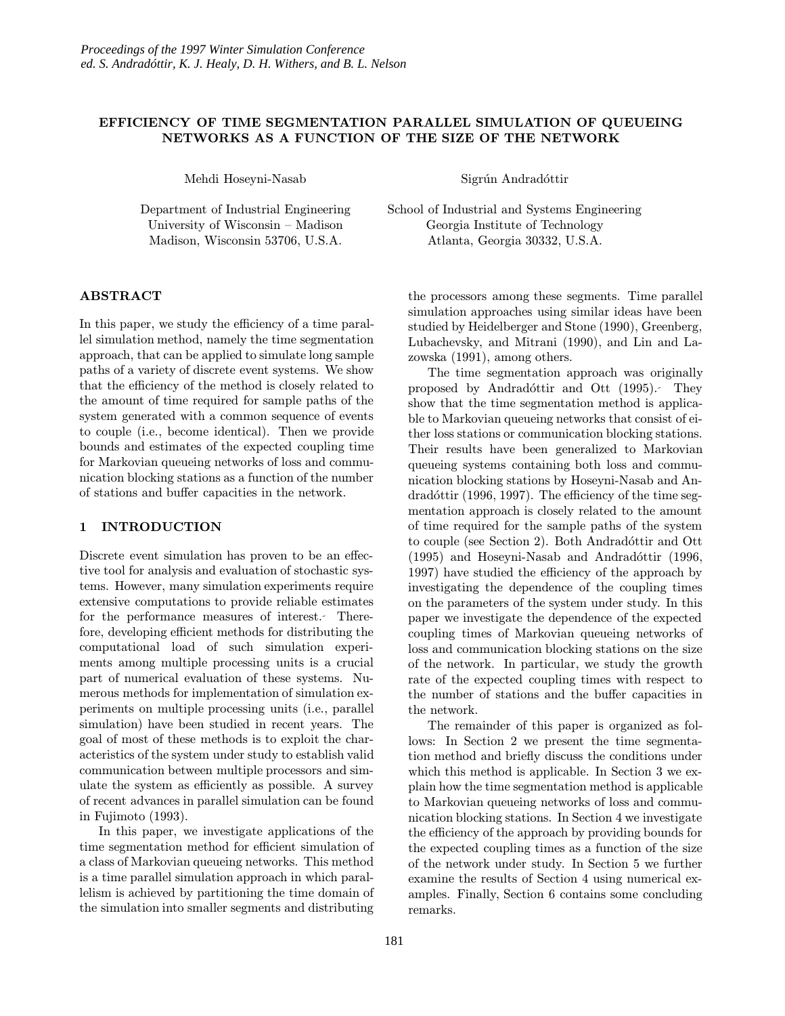## EFFICIENCY OF TIME SEGMENTATION PARALLEL SIMULATION OF QUEUEING NETWORKS AS A FUNCTION OF THE SIZE OF THE NETWORK

Mehdi Hoseyni-Nasab

Department of Industrial Engineering University of Wisconsin – Madison Madison, Wisconsin 53706, U.S.A.

ABSTRACT

In this paper, we study the efficiency of a time parallel simulation method, namely the time segmentation approach, that can be applied to simulate long sample paths of a variety of discrete event systems. We show that the efficiency of the method is closely related to the amount of time required for sample paths of the system generated with a common sequence of events to couple (i.e., become identical). Then we provide bounds and estimates of the expected coupling time for Markovian queueing networks of loss and communication blocking stations as a function of the number of stations and buffer capacities in the network.

#### 1 INTRODUCTION

Discrete event simulation has proven to be an effective tool for analysis and evaluation of stochastic systems. However, many simulation experiments require extensive computations to provide reliable estimates for the performance measures of interest. Therefore, developing efficient methods for distributing the computational load of such simulation experiments among multiple processing units is a crucial part of numerical evaluation of these systems. Numerous methods for implementation of simulation experiments on multiple processing units (i.e., parallel simulation) have been studied in recent years. The goal of most of these methods is to exploit the characteristics of the system under study to establish valid communication between multiple processors and simulate the system as efficiently as possible. A survey of recent advances in parallel simulation can be found in Fujimoto (1993).

In this paper, we investigate applications of the time segmentation method for efficient simulation of a class of Markovian queueing networks. This method is a time parallel simulation approach in which parallelism is achieved by partitioning the time domain of the simulation into smaller segments and distributing

Sigrún Andradóttir

School of Industrial and Systems Engineering Georgia Institute of Technology Atlanta, Georgia 30332, U.S.A.

the processors among these segments. Time parallel simulation approaches using similar ideas have been studied by Heidelberger and Stone (1990), Greenberg, Lubachevsky, and Mitrani (1990), and Lin and Lazowska (1991), among others.

The time segmentation approach was originally proposed by Andradóttir and Ott (1995). They show that the time segmentation method is applicable to Markovian queueing networks that consist of either loss stations or communication blocking stations. Their results have been generalized to Markovian queueing systems containing both loss and communication blocking stations by Hoseyni-Nasab and Andradóttir (1996, 1997). The efficiency of the time segmentation approach is closely related to the amount of time required for the sample paths of the system to couple (see Section 2). Both Andradóttir and Ott  $(1995)$  and Hoseyni-Nasab and Andradóttir  $(1996,$ 1997) have studied the efficiency of the approach by investigating the dependence of the coupling times on the parameters of the system under study. In this paper we investigate the dependence of the expected coupling times of Markovian queueing networks of loss and communication blocking stations on the size of the network. In particular, we study the growth rate of the expected coupling times with respect to the number of stations and the buffer capacities in the network.

The remainder of this paper is organized as follows: In Section 2 we present the time segmentation method and briefly discuss the conditions under which this method is applicable. In Section 3 we explain how the time segmentation method is applicable to Markovian queueing networks of loss and communication blocking stations. In Section 4 we investigate the efficiency of the approach by providing bounds for the expected coupling times as a function of the size of the network under study. In Section 5 we further examine the results of Section 4 using numerical examples. Finally, Section 6 contains some concluding remarks.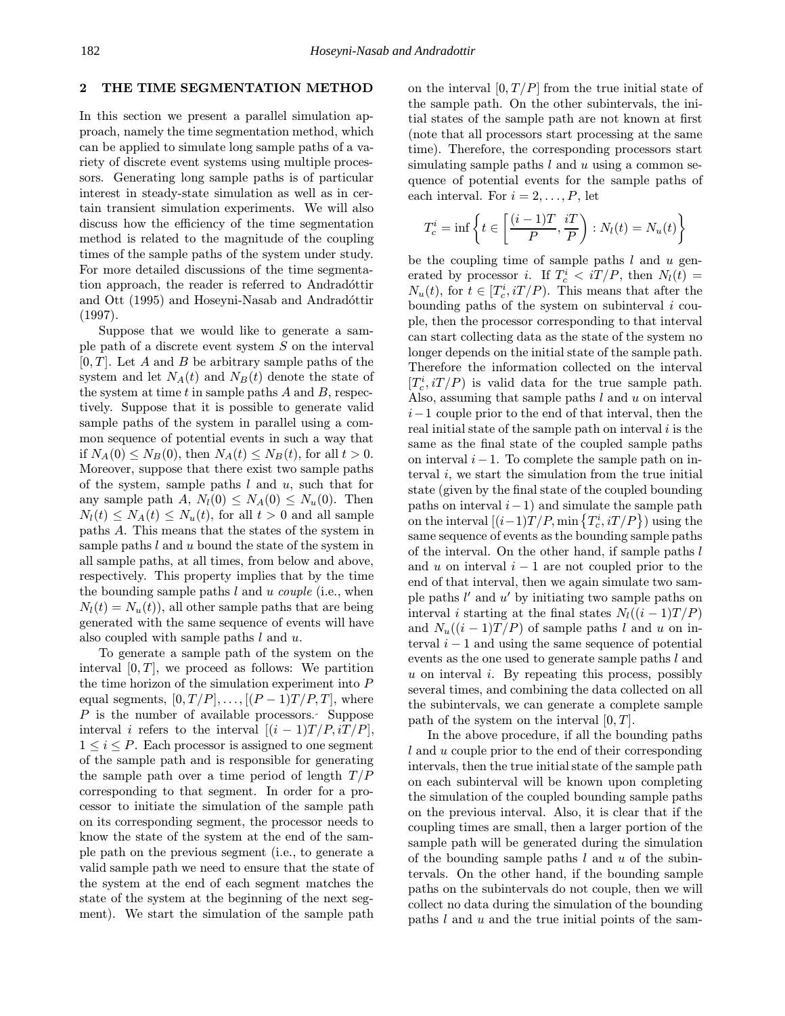#### 2 THE TIME SEGMENTATION METHOD

In this section we present a parallel simulation approach, namely the time segmentation method, which can be applied to simulate long sample paths of a variety of discrete event systems using multiple processors. Generating long sample paths is of particular interest in steady-state simulation as well as in certain transient simulation experiments. We will also discuss how the efficiency of the time segmentation method is related to the magnitude of the coupling times of the sample paths of the system under study. For more detailed discussions of the time segmentation approach, the reader is referred to Andradottin and Ott (1995) and Hoseyni-Nasab and Andradóttir (1997).

Suppose that we would like to generate a sample path of a discrete event system S on the interval  $[0, T]$ . Let A and B be arbitrary sample paths of the system and let  $N_A(t)$  and  $N_B(t)$  denote the state of the system at time  $t$  in sample paths  $A$  and  $B$ , respectively. Suppose that it is possible to generate valid sample paths of the system in parallel using a common sequence of potential events in such a way that if  $N_A(0) \le N_B(0)$ , then  $N_A(t) \le N_B(t)$ , for all  $t > 0$ . Moreover, suppose that there exist two sample paths of the system, sample paths  $l$  and  $u$ , such that for any sample path A,  $N_l(0) \leq N_A(0) \leq N_u(0)$ . Then  $N_l(t) \leq N_A(t) \leq N_u(t)$ , for all  $t > 0$  and all sample paths A. This means that the states of the system in sample paths l and u bound the state of the system in all sample paths, at all times, from below and above, respectively. This property implies that by the time the bounding sample paths  $l$  and  $u$  couple (i.e., when  $N_l(t) = N_u(t)$ , all other sample paths that are being generated with the same sequence of events will have also coupled with sample paths  $l$  and  $u$ .

To generate a sample path of the system on the interval  $[0, T]$ , we proceed as follows: We partition the time horizon of the simulation experiment into P equal segments,  $[0, T/P], \ldots, [(P-1)T/P, T]$ , where P is the number of available processors. Suppose interval *i* refers to the interval  $[(i - 1)T/P, iT/P]$ ,  $1 \leq i \leq P$ . Each processor is assigned to one segment of the sample path and is responsible for generating the sample path over a time period of length  $T/P$ corresponding to that segment. In order for a processor to initiate the simulation of the sample path on its corresponding segment, the processor needs to know the state of the system at the end of the sample path on the previous segment (i.e., to generate a valid sample path we need to ensure that the state of the system at the end of each segment matches the state of the system at the beginning of the next segment). We start the simulation of the sample path

on the interval  $[0, T/P]$  from the true initial state of the sample path. On the other subintervals, the initial states of the sample path are not known at first (note that all processors start processing at the same time). Therefore, the corresponding processors start simulating sample paths  $l$  and  $u$  using a common sequence of potential events for the sample paths of each interval. For  $i = 2, \ldots, P$ , let

$$
T_c^i = \inf \left\{ t \in \left[ \frac{(i-1)T}{P}, \frac{iT}{P} \right) : N_l(t) = N_u(t) \right\}
$$

be the coupling time of sample paths  $l$  and  $u$  generated by processor *i*. If  $T_c^i < iT/P$ , then  $N_l(t) =$  $N_u(t)$ , for  $t \in [T_c^i, iT/P)$ . This means that after the bounding paths of the system on subinterval  $i$  couple, then the processor corresponding to that interval can start collecting data as the state of the system no longer depends on the initial state of the sample path. Therefore the information collected on the interval  $[T_c^i, iT/P]$  is valid data for the true sample path. Also, assuming that sample paths  $l$  and  $u$  on interval  $i-1$  couple prior to the end of that interval, then the real initial state of the sample path on interval  $i$  is the same as the final state of the coupled sample paths on interval  $i - 1$ . To complete the sample path on interval  $i$ , we start the simulation from the true initial state (given by the final state of the coupled bounding paths on interval  $i-1$ ) and simulate the sample path on the interval  $[(i-1)T/P, \min\left\{T_c^i, iT/P\right\})$  using the same sequence of events as the bounding sample paths of the interval. On the other hand, if sample paths l and u on interval  $i - 1$  are not coupled prior to the end of that interval, then we again simulate two sample paths  $l'$  and  $u'$  by initiating two sample paths on interval *i* starting at the final states  $N_l((i - 1)T/P)$ and  $N_u((i-1)T/P)$  of sample paths l and u on interval  $i - 1$  and using the same sequence of potential events as the one used to generate sample paths l and  $u$  on interval  $i$ . By repeating this process, possibly several times, and combining the data collected on all the subintervals, we can generate a complete sample path of the system on the interval  $[0, T]$ .

In the above procedure, if all the bounding paths l and u couple prior to the end of their corresponding intervals, then the true initial state of the sample path on each subinterval will be known upon completing the simulation of the coupled bounding sample paths on the previous interval. Also, it is clear that if the coupling times are small, then a larger portion of the sample path will be generated during the simulation of the bounding sample paths  $l$  and  $u$  of the subintervals. On the other hand, if the bounding sample paths on the subintervals do not couple, then we will collect no data during the simulation of the bounding paths  $l$  and  $u$  and the true initial points of the sam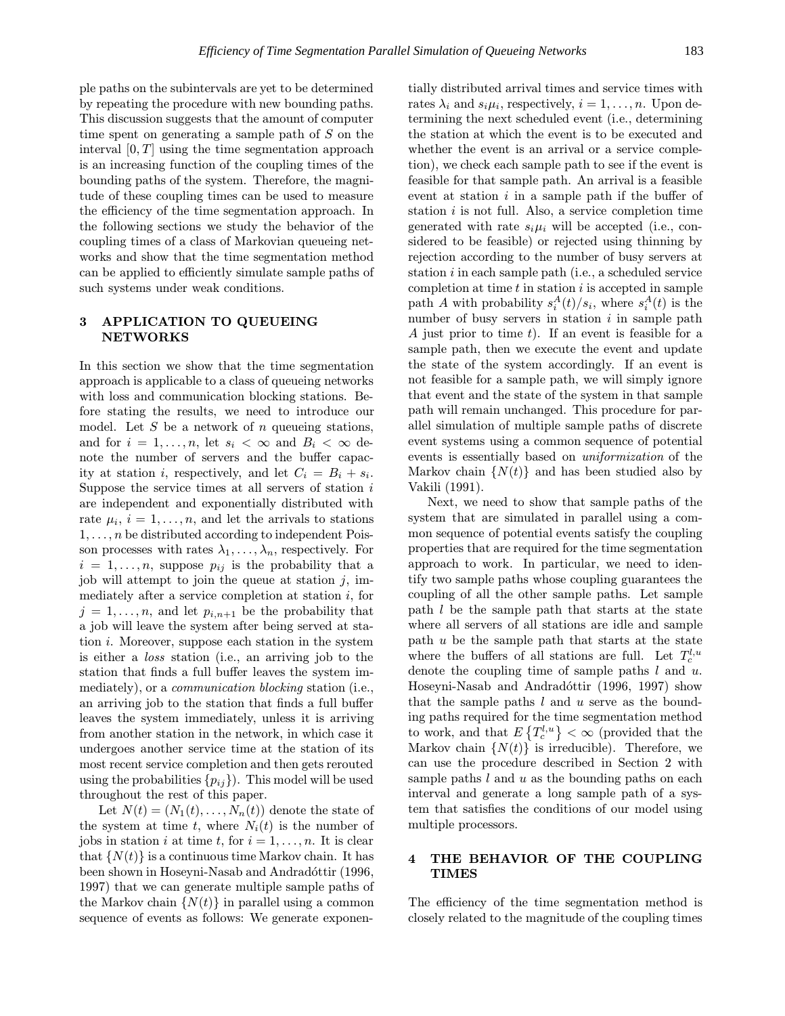ple paths on the subintervals are yet to be determined by repeating the procedure with new bounding paths. This discussion suggests that the amount of computer time spent on generating a sample path of S on the interval  $[0, T]$  using the time segmentation approach is an increasing function of the coupling times of the bounding paths of the system. Therefore, the magnitude of these coupling times can be used to measure the efficiency of the time segmentation approach. In the following sections we study the behavior of the coupling times of a class of Markovian queueing networks and show that the time segmentation method can be applied to efficiently simulate sample paths of such systems under weak conditions.

## 3 APPLICATION TO QUEUEING **NETWORKS**

In this section we show that the time segmentation approach is applicable to a class of queueing networks with loss and communication blocking stations. Before stating the results, we need to introduce our model. Let  $S$  be a network of  $n$  queueing stations, and for  $i = 1, \ldots, n$ , let  $s_i < \infty$  and  $B_i < \infty$  denote the number of servers and the buffer capacity at station *i*, respectively, and let  $C_i = B_i + s_i$ . Suppose the service times at all servers of station  $i$ are independent and exponentially distributed with rate  $\mu_i$ ,  $i = 1, \ldots, n$ , and let the arrivals to stations  $1, \ldots, n$  be distributed according to independent Poisson processes with rates  $\lambda_1, \ldots, \lambda_n$ , respectively. For  $i = 1, \ldots, n$ , suppose  $p_{ij}$  is the probability that a job will attempt to join the queue at station  $j$ , immediately after a service completion at station  $i$ , for  $j = 1, \ldots, n$ , and let  $p_{i,n+1}$  be the probability that a job will leave the system after being served at station  $i$ . Moreover, suppose each station in the system is either a loss station (i.e., an arriving job to the station that finds a full buffer leaves the system immediately), or a communication blocking station (i.e., an arriving job to the station that finds a full buffer leaves the system immediately, unless it is arriving from another station in the network, in which case it undergoes another service time at the station of its most recent service completion and then gets rerouted using the probabilities  $\{p_{ij}\}\)$ . This model will be used throughout the rest of this paper.

Let  $N(t) = (N_1(t), \ldots, N_n(t))$  denote the state of the system at time t, where  $N_i(t)$  is the number of jobs in station i at time t, for  $i = 1, \ldots, n$ . It is clear that  $\{N(t)\}\$ is a continuous time Markov chain. It has been shown in Hoseyni-Nasab and Andradóttir (1996, 1997) that we can generate multiple sample paths of the Markov chain  $\{N(t)\}\$ in parallel using a common sequence of events as follows: We generate exponentially distributed arrival times and service times with rates  $\lambda_i$  and  $s_i\mu_i$ , respectively,  $i = 1, \ldots, n$ . Upon determining the next scheduled event (i.e., determining the station at which the event is to be executed and whether the event is an arrival or a service completion), we check each sample path to see if the event is feasible for that sample path. An arrival is a feasible event at station  $i$  in a sample path if the buffer of station  $i$  is not full. Also, a service completion time generated with rate  $s_i\mu_i$  will be accepted (i.e., considered to be feasible) or rejected using thinning by rejection according to the number of busy servers at station  $i$  in each sample path (i.e., a scheduled service completion at time  $t$  in station  $i$  is accepted in sample path A with probability  $s_i^A(t)/s_i$ , where  $s_i^A(t)$  is the number of busy servers in station  $i$  in sample path A just prior to time  $t$ ). If an event is feasible for a sample path, then we execute the event and update the state of the system accordingly. If an event is not feasible for a sample path, we will simply ignore that event and the state of the system in that sample path will remain unchanged. This procedure for parallel simulation of multiple sample paths of discrete event systems using a common sequence of potential events is essentially based on uniformization of the Markov chain  $\{N(t)\}\$ and has been studied also by Vakili (1991).

Next, we need to show that sample paths of the system that are simulated in parallel using a common sequence of potential events satisfy the coupling properties that are required for the time segmentation approach to work. In particular, we need to identify two sample paths whose coupling guarantees the coupling of all the other sample paths. Let sample path l be the sample path that starts at the state where all servers of all stations are idle and sample path  $u$  be the sample path that starts at the state where the buffers of all stations are full. Let  $T_c^{l,u}$ denote the coupling time of sample paths  $l$  and  $u$ . Hoseyni-Nasab and Andradóttir (1996, 1997) show that the sample paths  $l$  and  $u$  serve as the bounding paths required for the time segmentation method to work, and that  $E\left\{T_c^{l,u}\right\} < \infty$  (provided that the Markov chain  $\{N(t)\}\$ is irreducible). Therefore, we can use the procedure described in Section 2 with sample paths  $l$  and  $u$  as the bounding paths on each interval and generate a long sample path of a system that satisfies the conditions of our model using multiple processors.

### 4 THE BEHAVIOR OF THE COUPLING **TIMES**

The efficiency of the time segmentation method is closely related to the magnitude of the coupling times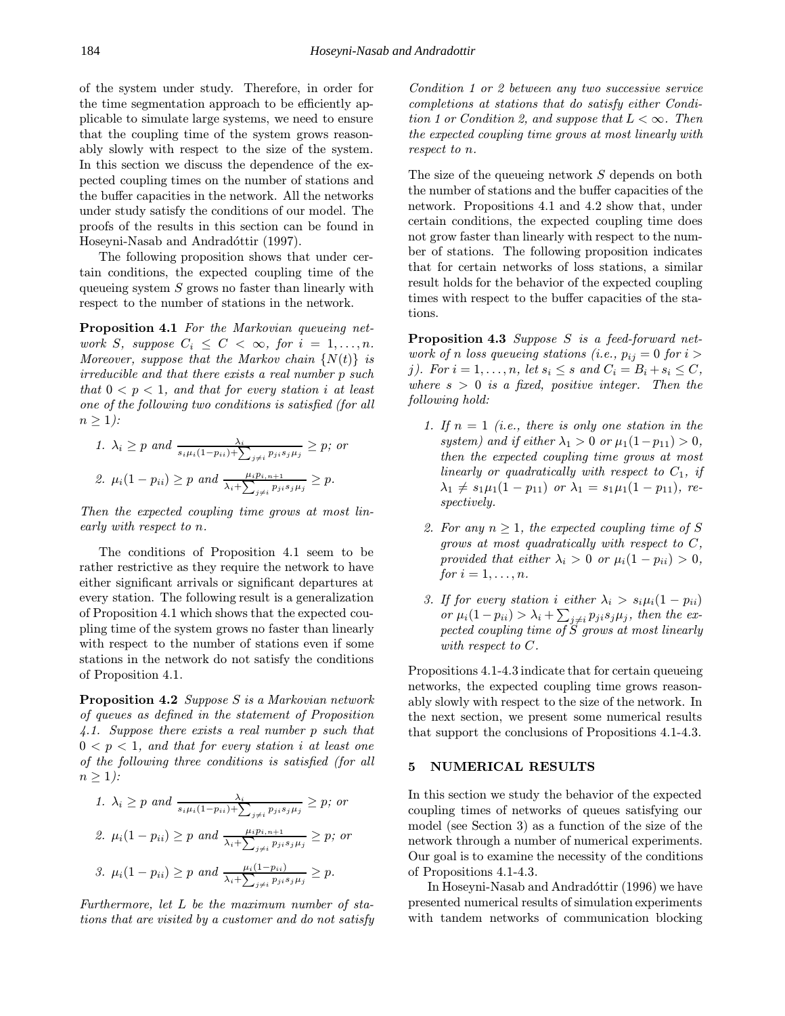of the system under study. Therefore, in order for the time segmentation approach to be efficiently applicable to simulate large systems, we need to ensure that the coupling time of the system grows reasonably slowly with respect to the size of the system. In this section we discuss the dependence of the expected coupling times on the number of stations and the buffer capacities in the network. All the networks under study satisfy the conditions of our model. The proofs of the results in this section can be found in Hoseyni-Nasab and Andradóttir (1997).

The following proposition shows that under certain conditions, the expected coupling time of the queueing system  $S$  grows no faster than linearly with respect to the number of stations in the network.

Proposition 4.1 For the Markovian queueing network S, suppose  $C_i \leq C < \infty$ , for  $i = 1, \ldots, n$ . Moreover, suppose that the Markov chain  $\{N(t)\}\;$  is irreducible and that there exists a real number p such that  $0 < p < 1$ , and that for every station i at least one of the following two conditions is satisfied (for all  $n > 1$ :

1. 
$$
\lambda_i \ge p
$$
 and  $\frac{\lambda_i}{s_i \mu_i (1 - p_{ii}) + \sum_{j \ne i} p_{ji} s_j \mu_j} \ge p$ ; or  
2.  $\mu_i (1 - p_{ii}) \ge p$  and  $\frac{\mu_i p_{i, n+1}}{\lambda_i + \sum_{j \ne i} p_{ji} s_j \mu_j} \ge p$ .

Then the expected coupling time grows at most linearly with respect to n.

The conditions of Proposition 4.1 seem to be rather restrictive as they require the network to have either significant arrivals or significant departures at every station. The following result is a generalization of Proposition 4.1 which shows that the expected coupling time of the system grows no faster than linearly with respect to the number of stations even if some stations in the network do not satisfy the conditions of Proposition 4.1.

Proposition 4.2 Suppose S is a Markovian network of queues as defined in the statement of Proposition 4.1. Suppose there exists a real number p such that  $0 < p < 1$ , and that for every station i at least one of the following three conditions is satisfied (for all  $n \geq 1$ :

1. 
$$
\lambda_i \ge p \text{ and } \frac{\lambda_i}{s_i \mu_i (1 - p_{ii}) + \sum_{j \ne i} p_{ji} s_j \mu_j} \ge p; \text{ or}
$$
  
2. 
$$
\mu_i (1 - p_{ii}) \ge p \text{ and } \frac{\mu_i p_{i, n+1}}{\lambda_i + \sum_{j \ne i} p_{ji} s_j \mu_j} \ge p; \text{ or}
$$
  
3. 
$$
\mu_i (1 - p_{ii}) \ge p \text{ and } \frac{\mu_i (1 - p_{ii})}{\lambda_i + \sum_{j \ne i} p_{ji} s_j \mu_j} \ge p.
$$

Furthermore, let L be the maximum number of stations that are visited by a customer and do not satisfy Condition 1 or 2 between any two successive service completions at stations that do satisfy either Condition 1 or Condition 2, and suppose that  $L < \infty$ . Then the expected coupling time grows at most linearly with respect to n.

The size of the queueing network S depends on both the number of stations and the buffer capacities of the network. Propositions 4.1 and 4.2 show that, under certain conditions, the expected coupling time does not grow faster than linearly with respect to the number of stations. The following proposition indicates that for certain networks of loss stations, a similar result holds for the behavior of the expected coupling times with respect to the buffer capacities of the stations.

Proposition 4.3 Suppose S is a feed-forward network of n loss queueing stations (i.e.,  $p_{ij} = 0$  for  $i >$ j). For  $i = 1, \ldots, n$ , let  $s_i \leq s$  and  $C_i = B_i + s_i \leq C$ , where  $s > 0$  is a fixed, positive integer. Then the following hold:

- 1. If  $n = 1$  (i.e., there is only one station in the system) and if either  $\lambda_1 > 0$  or  $\mu_1(1-p_{11}) > 0$ , then the expected coupling time grows at most linearly or quadratically with respect to  $C_1$ , if  $\lambda_1 \neq s_1\mu_1(1 - p_{11})$  or  $\lambda_1 = s_1\mu_1(1 - p_{11}),$  respectively.
- 2. For any  $n \geq 1$ , the expected coupling time of S grows at most quadratically with respect to  $C$ , provided that either  $\lambda_i > 0$  or  $\mu_i(1 - p_{ii}) > 0$ , for  $i = 1, \ldots, n$ .
- 3. If for every station i either  $\lambda_i > s_i \mu_i (1 p_{ii})$ or  $\mu_i(1-p_{ii}) > \lambda_i + \sum_{j \neq i} p_{ji} s_j \mu_j$ , then the expected coupling time of  $\check{S}$  grows at most linearly with respect to C.

Propositions 4.1-4.3 indicate that for certain queueing networks, the expected coupling time grows reasonably slowly with respect to the size of the network. In the next section, we present some numerical results that support the conclusions of Propositions 4.1-4.3.

#### 5 NUMERICAL RESULTS

In this section we study the behavior of the expected coupling times of networks of queues satisfying our model (see Section 3) as a function of the size of the network through a number of numerical experiments. Our goal is to examine the necessity of the conditions of Propositions 4.1-4.3.

In Hoseyni-Nasab and Andradóttir (1996) we have presented numerical results of simulation experiments with tandem networks of communication blocking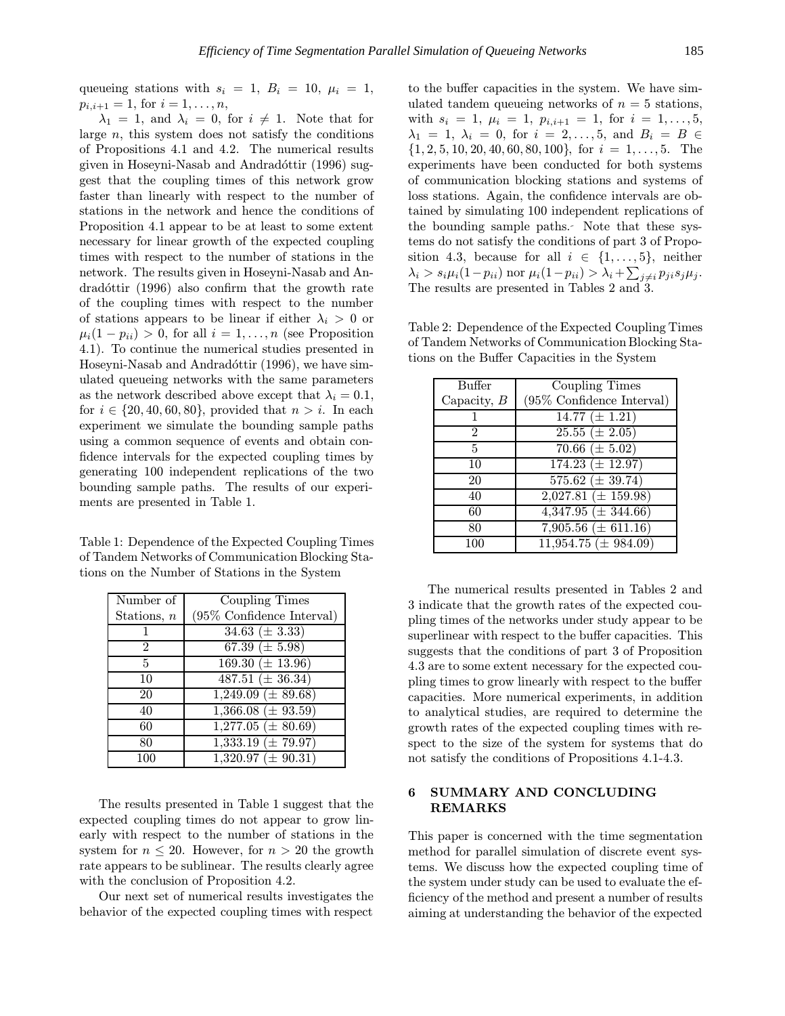queueing stations with  $s_i = 1$ ,  $B_i = 10$ ,  $\mu_i = 1$ ,  $p_{i,i+1} = 1$ , for  $i = 1, \ldots, n$ ,

 $\lambda_1 = 1$ , and  $\lambda_i = 0$ , for  $i \neq 1$ . Note that for large  $n$ , this system does not satisfy the conditions of Propositions 4.1 and 4.2. The numerical results given in Hoseyni-Nasab and Andradóttir  $(1996)$  suggest that the coupling times of this network grow faster than linearly with respect to the number of stations in the network and hence the conditions of Proposition 4.1 appear to be at least to some extent necessary for linear growth of the expected coupling times with respect to the number of stations in the network. The results given in Hoseyni-Nasab and An $d$ rad $\acute{o}t$ ttir (1996) also confirm that the growth rate of the coupling times with respect to the number of stations appears to be linear if either  $\lambda_i > 0$  or  $\mu_i(1 - p_{ii}) > 0$ , for all  $i = 1, \ldots, n$  (see Proposition 4.1). To continue the numerical studies presented in Hoseyni-Nasab and Andradóttir (1996), we have simulated queueing networks with the same parameters as the network described above except that  $\lambda_i = 0.1$ , for  $i \in \{20, 40, 60, 80\}$ , provided that  $n > i$ . In each experiment we simulate the bounding sample paths using a common sequence of events and obtain confidence intervals for the expected coupling times by generating 100 independent replications of the two bounding sample paths. The results of our experiments are presented in Table 1.

Table 1: Dependence of the Expected Coupling Times of Tandem Networks of Communication Blocking Stations on the Number of Stations in the System

| Number of      | Coupling Times                       |
|----------------|--------------------------------------|
| Stations, $n$  | (95% Confidence Interval)            |
|                | $34.63 \ (\pm 3.33)$                 |
| $\overline{2}$ | 67.39 $(\pm 5.98)$                   |
| 5              | $169.30 \ (\pm 13.96)$               |
| 10             | $487.51 (\pm 36.34)$                 |
| 20             | $1,249.09 \ (\pm 89.68)$             |
| 40             | $1,366.08 (\pm 93.59)$               |
| 60             | $\overline{1,277.05 (\pm 80.69)}$    |
| 80             | $1,333.19 \ (\pm \ 79.97)$           |
| 100            | $\overline{1,320.97}$ ( $\pm$ 90.31) |

The results presented in Table 1 suggest that the expected coupling times do not appear to grow linearly with respect to the number of stations in the system for  $n \leq 20$ . However, for  $n > 20$  the growth rate appears to be sublinear. The results clearly agree with the conclusion of Proposition 4.2.

Our next set of numerical results investigates the behavior of the expected coupling times with respect to the buffer capacities in the system. We have simulated tandem queueing networks of  $n = 5$  stations, with  $s_i = 1, \mu_i = 1, p_{i,i+1} = 1, \text{ for } i = 1, \ldots, 5,$  $\lambda_1 = 1, \lambda_i = 0, \text{ for } i = 2, ..., 5, \text{ and } B_i = B \in$  $\{1, 2, 5, 10, 20, 40, 60, 80, 100\}$ , for  $i = 1, \ldots, 5$ . The experiments have been conducted for both systems of communication blocking stations and systems of loss stations. Again, the confidence intervals are obtained by simulating 100 independent replications of the bounding sample paths. Note that these systems do not satisfy the conditions of part 3 of Proposition 4.3, because for all  $i \in \{1, \ldots, 5\}$ , neither  $\lambda_i > s_i \mu_i (1-p_{ii}) \text{ nor } \mu_i (1-p_{ii}) > \lambda_i + \sum_{j \neq i} p_{ji} s_j \mu_j.$ The results are presented in Tables 2 and 3.

Table 2: Dependence of the Expected Coupling Times of Tandem Networks of Communication Blocking Stations on the Buffer Capacities in the System

| Buffer        | Coupling Times                |
|---------------|-------------------------------|
| Capacity, $B$ | $(95\%$ Confidence Interval)  |
|               | $\overline{14.77} (\pm 1.21)$ |
| 2             | $25.\overline{55} (\pm 2.05)$ |
| 5             | $70.66 \ (\pm 5.02)$          |
| 10            | $174.23 \ (\pm 12.97)$        |
| 20            | $575.62 \ (\pm 39.74)$        |
| 40            | $2,027.81 (\pm 159.98)$       |
| 60            | $4,347.95 \ (\pm \ 344.66)$   |
| 80            | 7,905.56 ( $\pm$ 611.16)      |
| 100           | $11,954.75 \ (\pm \ 984.09)$  |

The numerical results presented in Tables 2 and 3 indicate that the growth rates of the expected coupling times of the networks under study appear to be superlinear with respect to the buffer capacities. This suggests that the conditions of part 3 of Proposition 4.3 are to some extent necessary for the expected coupling times to grow linearly with respect to the buffer capacities. More numerical experiments, in addition to analytical studies, are required to determine the growth rates of the expected coupling times with respect to the size of the system for systems that do not satisfy the conditions of Propositions 4.1-4.3.

## 6 SUMMARY AND CONCLUDING REMARKS

This paper is concerned with the time segmentation method for parallel simulation of discrete event systems. We discuss how the expected coupling time of the system under study can be used to evaluate the efficiency of the method and present a number of results aiming at understanding the behavior of the expected